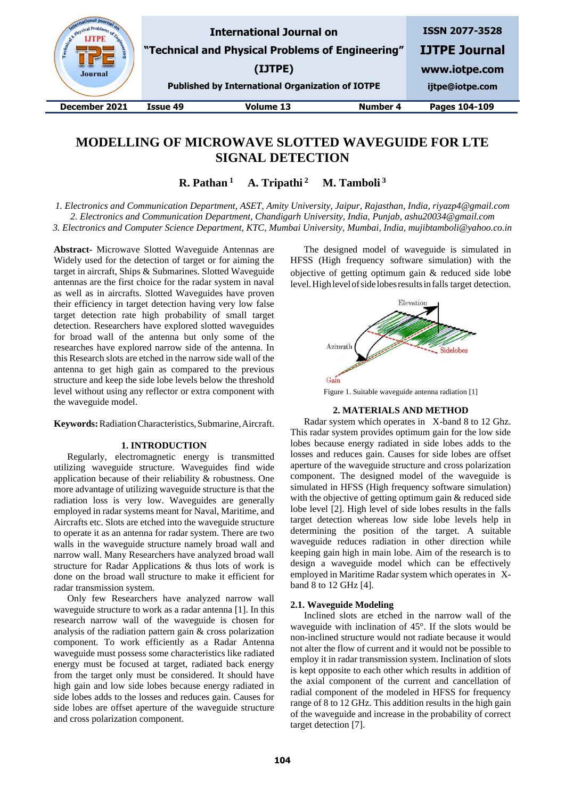| E Cale Physical Pr<br>Engineer<br><b>Journal</b> |          | <b>International Journal on</b><br>"Technical and Physical Problems of Engineering"<br>(IJTPE)<br><b>Published by International Organization of IOTPE</b> |          | <b>ISSN 2077-3528</b><br><b>IJTPE Journal</b><br>www.iotpe.com<br>ijtpe@iotpe.com |
|--------------------------------------------------|----------|-----------------------------------------------------------------------------------------------------------------------------------------------------------|----------|-----------------------------------------------------------------------------------|
| December 2021                                    | Issue 49 | Volume 13                                                                                                                                                 | Number 4 | Pages 104-109                                                                     |
|                                                  |          |                                                                                                                                                           |          |                                                                                   |

# **MODELLING OF MICROWAVE SLOTTED WAVEGUIDE FOR LTE SIGNAL DETECTION**

**R. Pathan <sup>1</sup> A. Tripathi <sup>2</sup> M. Tamboli <sup>3</sup>**

*1. Electronics and Communication Department, ASET, Amity University, Jaipur, Rajasthan, India, riyazp4@gmail.com 2. Electronics and Communication Department, Chandigarh University, India, Punjab, ashu20034@gmail.com 3. Electronics and Computer Science Department, KTC, Mumbai University, Mumbai, India, mujibtamboli@yahoo.co.in*

**Abstract-** Microwave Slotted Waveguide Antennas are Widely used for the detection of target or for aiming the target in aircraft, Ships & Submarines. Slotted Waveguide antennas are the first choice for the radar system in naval as well as in aircrafts. Slotted Waveguides have proven their efficiency in target detection having very low false target detection rate high probability of small target detection. Researchers have explored slotted waveguides for broad wall of the antenna but only some of the researches have explored narrow side of the antenna. In this Research slots are etched in the narrow side wall of the antenna to get high gain as compared to the previous structure and keep the side lobe levels below the threshold level without using any reflector or extra component with the waveguide model.

**Keywords:**RadiationCharacteristics,Submarine,Aircraft.

## **1. INTRODUCTION**

Regularly, electromagnetic energy is transmitted utilizing waveguide structure. Waveguides find wide application because of their reliability & robustness. One more advantage of utilizing waveguide structure is that the radiation loss is very low. Waveguides are generally employed in radar systems meant for Naval, Maritime, and Aircrafts etc. Slots are etched into the waveguide structure to operate it as an antenna for radar system. There are two walls in the waveguide structure namely broad wall and narrow wall. Many Researchers have analyzed broad wall structure for Radar Applications & thus lots of work is done on the broad wall structure to make it efficient for radar transmission system.

Only few Researchers have analyzed narrow wall waveguide structure to work as a radar antenna [1]. In this research narrow wall of the waveguide is chosen for analysis of the radiation pattern gain & cross polarization component. To work efficiently as a Radar Antenna waveguide must possess some characteristics like radiated energy must be focused at target, radiated back energy from the target only must be considered. It should have high gain and low side lobes because energy radiated in side lobes adds to the losses and reduces gain. Causes for side lobes are offset aperture of the waveguide structure and cross polarization component.

The designed model of waveguide is simulated in HFSS (High frequency software simulation) with the objective of getting optimum gain & reduced side lobe level.Highlevelofsidelobesresultsinfalls target detection.



Figure 1. Suitable waveguide antenna radiation [1]

## **2. MATERIALS AND METHOD**

Radar system which operates in X-band 8 to 12 Ghz. This radar system provides optimum gain for the low side lobes because energy radiated in side lobes adds to the losses and reduces gain. Causes for side lobes are offset aperture of the waveguide structure and cross polarization component. The designed model of the waveguide is simulated in HFSS (High frequency software simulation) with the objective of getting optimum gain & reduced side lobe level [2]. High level of side lobes results in the falls target detection whereas low side lobe levels help in determining the position of the target. A suitable waveguide reduces radiation in other direction while keeping gain high in main lobe. Aim of the research is to design a waveguide model which can be effectively employed in Maritime Radar system which operates in Xband 8 to 12 GHz [4].

#### **2.1. Waveguide Modeling**

Inclined slots are etched in the narrow wall of the waveguide with inclination of 45°. If the slots would be non-inclined structure would not radiate because it would not alter the flow of current and it would not be possible to employ it in radar transmission system. Inclination of slots is kept opposite to each other which results in addition of the axial component of the current and cancellation of radial component of the modeled in HFSS for frequency range of 8 to 12 GHz. This addition results in the high gain of the waveguide and increase in the probability of correct target detection [7].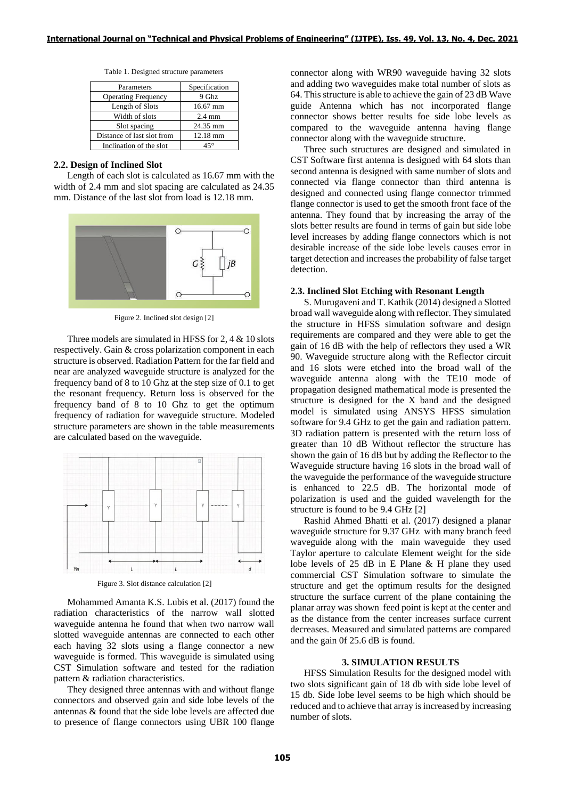| Parameters                 | Specification      |  |
|----------------------------|--------------------|--|
| <b>Operating Frequency</b> | 9 Ghz              |  |
| Length of Slots            | $16.67$ mm         |  |
| Width of slots             | $2.4 \text{ mm}$   |  |
| Slot spacing               | 24.35 mm           |  |
| Distance of last slot from | $12.18 \text{ mm}$ |  |
| Inclination of the slot    | 45°                |  |

Table 1. Designed structure parameters

#### **2.2. Design of Inclined Slot**

Length of each slot is calculated as 16.67 mm with the width of 2.4 mm and slot spacing are calculated as 24.35 mm. Distance of the last slot from load is 12.18 mm.



Figure 2. Inclined slot design [2]

Three models are simulated in HFSS for 2, 4 & 10 slots respectively. Gain & cross polarization component in each structure is observed. Radiation Pattern for the far field and near are analyzed waveguide structure is analyzed for the frequency band of 8 to 10 Ghz at the step size of 0.1 to get the resonant frequency. Return loss is observed for the frequency band of 8 to 10 Ghz to get the optimum frequency of radiation for waveguide structure. Modeled structure parameters are shown in the table measurements are calculated based on the waveguide.



Figure 3. Slot distance calculation [2]

Mohammed Amanta K.S. Lubis et al. (2017) found the radiation characteristics of the narrow wall slotted waveguide antenna he found that when two narrow wall slotted waveguide antennas are connected to each other each having 32 slots using a flange connector a new waveguide is formed. This waveguide is simulated using CST Simulation software and tested for the radiation pattern & radiation characteristics.

They designed three antennas with and without flange connectors and observed gain and side lobe levels of the antennas & found that the side lobe levels are affected due to presence of flange connectors using UBR 100 flange connector along with WR90 waveguide having 32 slots and adding two waveguides make total number of slots as 64. This structure is able to achieve the gain of 23 dB Wave guide Antenna which has not incorporated flange connector shows better results foe side lobe levels as compared to the waveguide antenna having flange connector along with the waveguide structure.

Three such structures are designed and simulated in CST Software first antenna is designed with 64 slots than second antenna is designed with same number of slots and connected via flange connector than third antenna is designed and connected using flange connector trimmed flange connector is used to get the smooth front face of the antenna. They found that by increasing the array of the slots better results are found in terms of gain but side lobe level increases by adding flange connectors which is not desirable increase of the side lobe levels causes error in target detection and increases the probability of false target detection.

#### **2.3. Inclined Slot Etching with Resonant Length**

S. Murugaveni and T. Kathik (2014) designed a Slotted broad wall waveguide along with reflector. They simulated the structure in HFSS simulation software and design requirements are compared and they were able to get the gain of 16 dB with the help of reflectors they used a WR 90. Waveguide structure along with the Reflector circuit and 16 slots were etched into the broad wall of the waveguide antenna along with the TE10 mode of propagation designed mathematical mode is presented the structure is designed for the X band and the designed model is simulated using ANSYS HFSS simulation software for 9.4 GHz to get the gain and radiation pattern. 3D radiation pattern is presented with the return loss of greater than 10 dB Without reflector the structure has shown the gain of 16 dB but by adding the Reflector to the Waveguide structure having 16 slots in the broad wall of the waveguide the performance of the waveguide structure is enhanced to 22.5 dB. The horizontal mode of polarization is used and the guided wavelength for the structure is found to be 9.4 GHz [2]

Rashid Ahmed Bhatti et al. (2017) designed a planar waveguide structure for 9.37 GHz with many branch feed waveguide along with the main waveguide they used Taylor aperture to calculate Element weight for the side lobe levels of 25 dB in E Plane & H plane they used commercial CST Simulation software to simulate the structure and get the optimum results for the designed structure the surface current of the plane containing the planar array was shown feed point is kept at the center and as the distance from the center increases surface current decreases. Measured and simulated patterns are compared and the gain 0f 25.6 dB is found.

### **3. SIMULATION RESULTS**

HFSS Simulation Results for the designed model with two slots significant gain of 18 db with side lobe level of 15 db. Side lobe level seems to be high which should be reduced and to achieve that array is increased by increasing number of slots.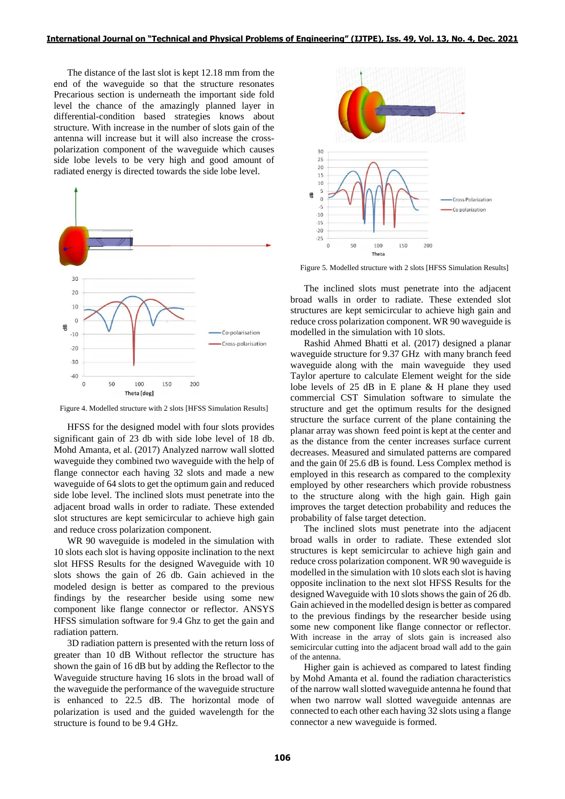The distance of the last slot is kept 12.18 mm from the end of the waveguide so that the structure resonates Precarious section is underneath the important side fold level the chance of the amazingly planned layer in differential-condition based strategies knows about structure. With increase in the number of slots gain of the antenna will increase but it will also increase the crosspolarization component of the waveguide which causes side lobe levels to be very high and good amount of radiated energy is directed towards the side lobe level.



Figure 4. Modelled structure with 2 slots [HFSS Simulation Results]

HFSS for the designed model with four slots provides significant gain of 23 db with side lobe level of 18 db. Mohd Amanta, et al. (2017) Analyzed narrow wall slotted waveguide they combined two waveguide with the help of flange connector each having 32 slots and made a new waveguide of 64 slots to get the optimum gain and reduced side lobe level. The inclined slots must penetrate into the adjacent broad walls in order to radiate. These extended slot structures are kept semicircular to achieve high gain and reduce cross polarization component.

WR 90 waveguide is modeled in the simulation with 10 slots each slot is having opposite inclination to the next slot HFSS Results for the designed Waveguide with 10 slots shows the gain of 26 db. Gain achieved in the modeled design is better as compared to the previous findings by the researcher beside using some new component like flange connector or reflector. ANSYS HFSS simulation software for 9.4 Ghz to get the gain and radiation pattern.

3D radiation pattern is presented with the return loss of greater than 10 dB Without reflector the structure has shown the gain of 16 dB but by adding the Reflector to the Waveguide structure having 16 slots in the broad wall of the waveguide the performance of the waveguide structure is enhanced to 22.5 dB. The horizontal mode of polarization is used and the guided wavelength for the structure is found to be 9.4 GHz.



Figure 5. Modelled structure with 2 slots [HFSS Simulation Results]

The inclined slots must penetrate into the adjacent broad walls in order to radiate. These extended slot structures are kept semicircular to achieve high gain and reduce cross polarization component. WR 90 waveguide is modelled in the simulation with 10 slots.

Rashid Ahmed Bhatti et al. (2017) designed a planar waveguide structure for 9.37 GHz with many branch feed waveguide along with the main waveguide they used Taylor aperture to calculate Element weight for the side lobe levels of 25 dB in E plane & H plane they used commercial CST Simulation software to simulate the structure and get the optimum results for the designed structure the surface current of the plane containing the planar array was shown feed point is kept at the center and as the distance from the center increases surface current decreases. Measured and simulated patterns are compared and the gain 0f 25.6 dB is found. Less Complex method is employed in this research as compared to the complexity employed by other researchers which provide robustness to the structure along with the high gain. High gain improves the target detection probability and reduces the probability of false target detection.

The inclined slots must penetrate into the adjacent broad walls in order to radiate. These extended slot structures is kept semicircular to achieve high gain and reduce cross polarization component. WR 90 waveguide is modelled in the simulation with 10 slots each slot is having opposite inclination to the next slot HFSS Results for the designed Waveguide with 10 slots shows the gain of 26 db. Gain achieved in the modelled design is better as compared to the previous findings by the researcher beside using some new component like flange connector or reflector. With increase in the array of slots gain is increased also semicircular cutting into the adjacent broad wall add to the gain of the antenna.

Higher gain is achieved as compared to latest finding by Mohd Amanta et al. found the radiation characteristics of the narrow wall slotted waveguide antenna he found that when two narrow wall slotted waveguide antennas are connected to each other each having 32 slots using a flange connector a new waveguide is formed.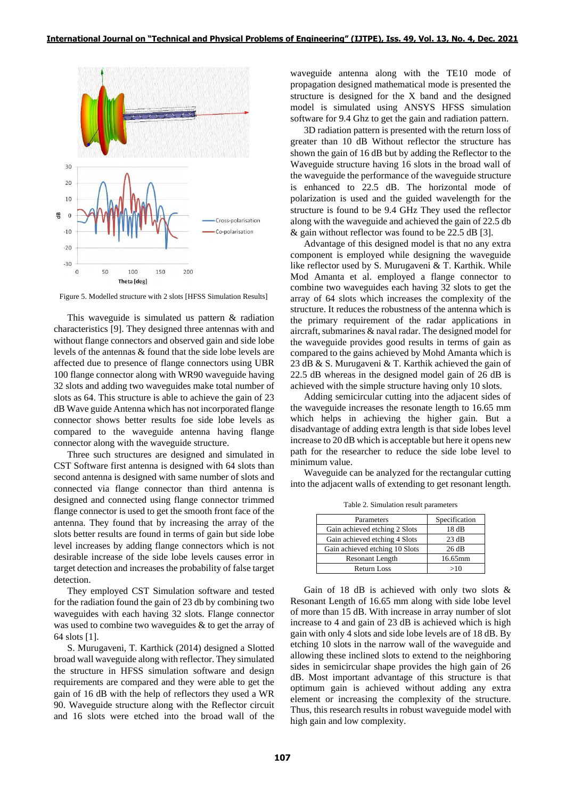

Figure 5. Modelled structure with 2 slots [HFSS Simulation Results]

This waveguide is simulated us pattern & radiation characteristics [9]. They designed three antennas with and without flange connectors and observed gain and side lobe levels of the antennas & found that the side lobe levels are affected due to presence of flange connectors using UBR 100 flange connector along with WR90 waveguide having 32 slots and adding two waveguides make total number of slots as 64. This structure is able to achieve the gain of 23 dB Wave guide Antenna which has not incorporated flange connector shows better results foe side lobe levels as compared to the waveguide antenna having flange connector along with the waveguide structure.

Three such structures are designed and simulated in CST Software first antenna is designed with 64 slots than second antenna is designed with same number of slots and connected via flange connector than third antenna is designed and connected using flange connector trimmed flange connector is used to get the smooth front face of the antenna. They found that by increasing the array of the slots better results are found in terms of gain but side lobe level increases by adding flange connectors which is not desirable increase of the side lobe levels causes error in target detection and increases the probability of false target detection.

They employed CST Simulation software and tested for the radiation found the gain of 23 db by combining two waveguides with each having 32 slots. Flange connector was used to combine two waveguides & to get the array of 64 slots [1].

S. Murugaveni, T. Karthick (2014) designed a Slotted broad wall waveguide along with reflector. They simulated the structure in HFSS simulation software and design requirements are compared and they were able to get the gain of 16 dB with the help of reflectors they used a WR 90. Waveguide structure along with the Reflector circuit and 16 slots were etched into the broad wall of the waveguide antenna along with the TE10 mode of propagation designed mathematical mode is presented the structure is designed for the X band and the designed model is simulated using ANSYS HFSS simulation software for 9.4 Ghz to get the gain and radiation pattern.

3D radiation pattern is presented with the return loss of greater than 10 dB Without reflector the structure has shown the gain of 16 dB but by adding the Reflector to the Waveguide structure having 16 slots in the broad wall of the waveguide the performance of the waveguide structure is enhanced to 22.5 dB. The horizontal mode of polarization is used and the guided wavelength for the structure is found to be 9.4 GHz They used the reflector along with the waveguide and achieved the gain of 22.5 db & gain without reflector was found to be 22.5 dB [3].

Advantage of this designed model is that no any extra component is employed while designing the waveguide like reflector used by S. Murugaveni & T. Karthik. While Mod Amanta et al. employed a flange connector to combine two waveguides each having 32 slots to get the array of 64 slots which increases the complexity of the structure. It reduces the robustness of the antenna which is the primary requirement of the radar applications in aircraft, submarines & naval radar. The designed model for the waveguide provides good results in terms of gain as compared to the gains achieved by Mohd Amanta which is 23 dB & S. Murugaveni & T. Karthik achieved the gain of 22.5 dB whereas in the designed model gain of 26 dB is achieved with the simple structure having only 10 slots.

Adding semicircular cutting into the adjacent sides of the waveguide increases the resonate length to 16.65 mm which helps in achieving the higher gain. But a disadvantage of adding extra length is that side lobes level increase to 20 dB which is acceptable but here it opens new path for the researcher to reduce the side lobe level to minimum value.

Waveguide can be analyzed for the rectangular cutting into the adjacent walls of extending to get resonant length.

| Parameters                     | Specification |
|--------------------------------|---------------|
| Gain achieved etching 2 Slots  | 18 dB         |
| Gain achieved etching 4 Slots  | 23 dB         |
| Gain achieved etching 10 Slots | 26 dB         |
| Resonant Length                | 16.65mm       |
| Return Loss                    | >10           |

Table 2. Simulation result parameters

Gain of 18 dB is achieved with only two slots & Resonant Length of 16.65 mm along with side lobe level of more than 15 dB. With increase in array number of slot increase to 4 and gain of 23 dB is achieved which is high gain with only 4 slots and side lobe levels are of 18 dB. By etching 10 slots in the narrow wall of the waveguide and allowing these inclined slots to extend to the neighboring sides in semicircular shape provides the high gain of 26 dB. Most important advantage of this structure is that optimum gain is achieved without adding any extra element or increasing the complexity of the structure. Thus, this research results in robust waveguide model with high gain and low complexity.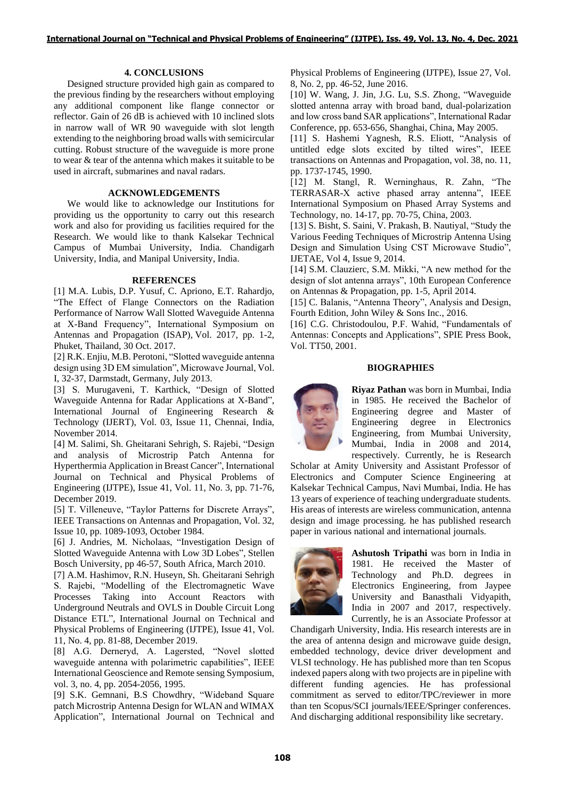### **4. CONCLUSIONS**

Designed structure provided high gain as compared to the previous finding by the researchers without employing any additional component like flange connector or reflector. Gain of 26 dB is achieved with 10 inclined slots in narrow wall of WR 90 waveguide with slot length extending to the neighboring broad walls with semicircular cutting. Robust structure of the waveguide is more prone to wear & tear of the antenna which makes it suitable to be used in aircraft, submarines and naval radars.

## **ACKNOWLEDGEMENTS**

We would like to acknowledge our Institutions for providing us the opportunity to carry out this research work and also for providing us facilities required for the Research. We would like to thank Kalsekar Technical Campus of Mumbai University, India. Chandigarh University, India, and Manipal University, India.

#### **REFERENCES**

[1] M.A. Lubis, D.P. Yusuf, C. Apriono, E.T. Rahardjo, "The Effect of Flange Connectors on the Radiation Performance of Narrow Wall Slotted Waveguide Antenna at X-Band Frequency", International Symposium on Antennas and Propagation (ISAP), Vol. 2017, pp. 1-2, Phuket, Thailand, 30 Oct. 2017.

[2] R.K. Enjiu, M.B. Perotoni, "Slotted waveguide antenna design using 3D EM simulation", Microwave Journal, Vol. I, 32-37, Darmstadt, Germany, July 2013.

[3] S. Murugaveni, T. Karthick, "Design of Slotted Waveguide Antenna for Radar Applications at X-Band", International Journal of Engineering Research & Technology (IJERT), Vol. 03, Issue 11, Chennai, India, November 2014.

[4] M. Salimi, Sh. Gheitarani Sehrigh, S. Rajebi, "Design and analysis of Microstrip Patch Antenna for Hyperthermia Application in Breast Cancer", International Journal on Technical and Physical Problems of Engineering (IJTPE), Issue 41, Vol. 11, No. 3, pp. 71-76, December 2019.

[5] T. Villeneuve, "Taylor Patterns for Discrete Arrays", IEEE Transactions on Antennas and Propagation, Vol. 32, Issue 10, pp. 1089-1093, October 1984.

[6] J. Andries, M. Nicholaas, "Investigation Design of Slotted Waveguide Antenna with Low 3D Lobes", Stellen Bosch University, pp 46-57, South Africa, March 2010.

[7] A.M. Hashimov, R.N. Huseyn, Sh. Gheitarani Sehrigh S. Rajebi, "Modelling of the Electromagnetic Wave Processes Taking into Account Reactors with Underground Neutrals and OVLS in Double Circuit Long Distance ETL", International Journal on Technical and Physical Problems of Engineering (IJTPE), Issue 41, Vol. 11, No. 4, pp. 81-88, December 2019.

[8] A.G. Derneryd, A. Lagersted, "Novel slotted waveguide antenna with polarimetric capabilities", IEEE International Geoscience and Remote sensing Symposium, vol. 3, no. 4, pp. 2054-2056, 1995.

[9] S.K. Gemnani, B.S Chowdhry, "Wideband Square patch Microstrip Antenna Design for WLAN and WIMAX Application", International Journal on Technical and

Physical Problems of Engineering (IJTPE), Issue 27, Vol. 8, No. 2, pp. 46-52, June 2016.

[10] W. Wang, J. Jin, J.G. Lu, S.S. Zhong, "Waveguide slotted antenna array with broad band, dual-polarization and low cross band SAR applications", International Radar Conference, pp. 653-656, Shanghai, China, May 2005.

[11] S. Hashemi Yagnesh, R.S. Eliott, "Analysis of untitled edge slots excited by tilted wires", IEEE transactions on Antennas and Propagation, vol. 38, no. 11, pp. 1737-1745, 1990.

[12] M. Stangl, R. Werninghaus, R. Zahn, "The TERRASAR-X active phased array antenna", IEEE International Symposium on Phased Array Systems and Technology, no. 14-17, pp. 70-75, China, 2003.

[13] S. Bisht, S. Saini, V. Prakash, B. Nautiyal, "Study the Various Feeding Techniques of Microstrip Antenna Using Design and Simulation Using CST Microwave Studio", IJETAE, Vol 4, Issue 9, 2014.

[14] S.M. Clauzierc, S.M. Mikki, "A new method for the design of slot antenna arrays", 10th European Conference on Antennas & Propagation, pp. 1-5, April 2014*.* 

[15] C. Balanis, "Antenna Theory", Analysis and Design, Fourth Edition, John Wiley & Sons Inc., 2016.

[16] C.G. Christodoulou, P.F. Wahid, "Fundamentals of Antennas: Concepts and Applications", SPIE Press Book, Vol. TT50, 2001.

## **BIOGRAPHIES**



**Riyaz Pathan** was born in Mumbai, India in 1985. He received the Bachelor of Engineering degree and Master of Engineering degree in Electronics Engineering, from Mumbai University, Mumbai, India in 2008 and 2014, respectively. Currently, he is Research

Scholar at Amity University and Assistant Professor of Electronics and Computer Science Engineering at Kalsekar Technical Campus, Navi Mumbai, India. He has 13 years of experience of teaching undergraduate students. His areas of interests are wireless communication, antenna design and image processing. he has published research paper in various national and international journals.



**Ashutosh Tripathi** was born in India in 1981. He received the Master of Technology and Ph.D. degrees in Electronics Engineering, from Jaypee University and Banasthali Vidyapith, India in 2007 and 2017, respectively. Currently, he is an Associate Professor at

Chandigarh University, India. His research interests are in the area of antenna design and microwave guide design, embedded technology, device driver development and VLSI technology. He has published more than ten Scopus indexed papers along with two projects are in pipeline with different funding agencies. He has professional commitment as served to editor/TPC/reviewer in more than ten Scopus/SCI journals/IEEE/Springer conferences. And discharging additional responsibility like secretary.